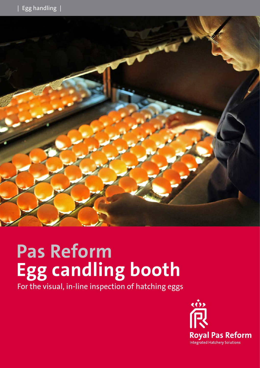

# **Pas Reform Egg candling booth**

For the visual, in-line inspection of hatching eggs